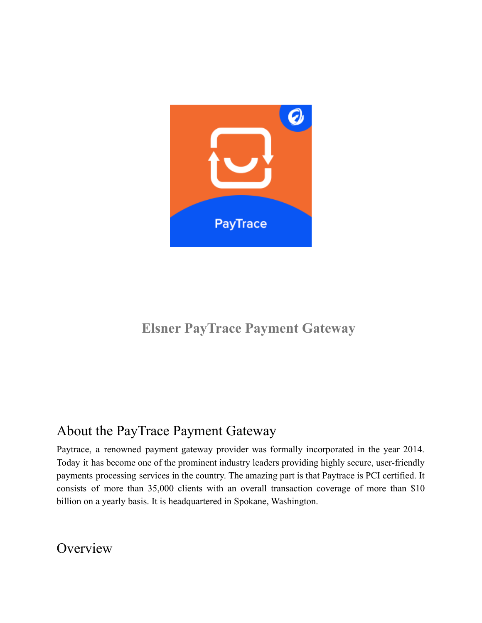

## **Elsner PayTrace Payment Gateway**

## About the PayTrace Payment Gateway

Paytrace, a renowned payment gateway provider was formally incorporated in the year 2014. Today it has become one of the prominent industry leaders providing highly secure, user-friendly payments processing services in the country. The amazing part is that Paytrace is PCI certified. It consists of more than 35,000 clients with an overall transaction coverage of more than \$10 billion on a yearly basis. It is headquartered in Spokane, Washington.

**Overview**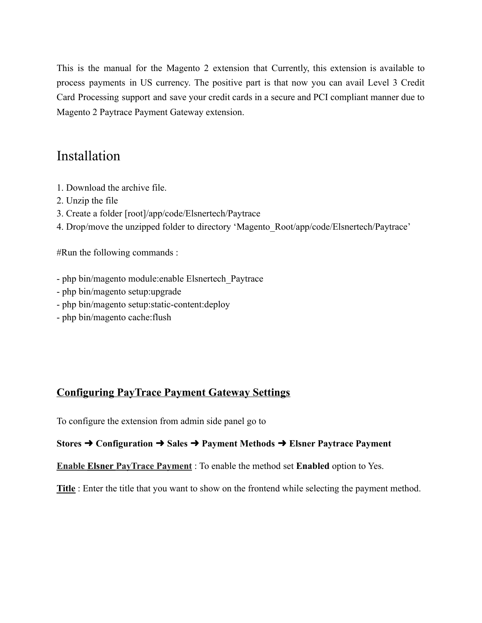This is the manual for the Magento 2 extension that Currently, this extension is available to process payments in US currency. The positive part is that now you can avail Level 3 Credit Card Processing support and save your credit cards in a secure and PCI compliant manner due to Magento 2 Paytrace Payment Gateway extension.

## Installation

- 1. Download the archive file.
- 2. Unzip the file
- 3. Create a folder [root]/app/code/Elsnertech/Paytrace
- 4. Drop/move the unzipped folder to directory 'Magento\_Root/app/code/Elsnertech/Paytrace'

#Run the following commands :

- php bin/magento module:enable Elsnertech\_Paytrace
- php bin/magento setup:upgrade
- php bin/magento setup:static-content:deploy
- php bin/magento cache:flush

#### **Configuring PayTrace Payment Gateway Settings**

To configure the extension from admin side panel go to

#### **Stores** ➜ **Configuration** ➜ **Sales** ➜ **Payment Methods** ➜ **Elsner Paytrace Payment**

**Enable Elsner PayTrace Payment** : To enable the method set **Enabled** option to Yes.

**Title** : Enter the title that you want to show on the frontend while selecting the payment method.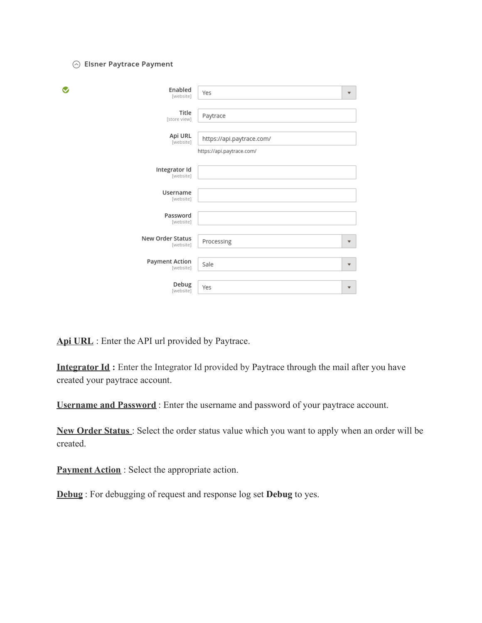#### ⊙ Elsner Paytrace Payment

| ❤<br>Enabled<br>[website]          | Yes<br>$\overline{\mathbf{v}}$                         |
|------------------------------------|--------------------------------------------------------|
| Title<br>[store view]              | Paytrace                                               |
| Api URL<br>[website]               | https://api.paytrace.com/<br>https://api.paytrace.com/ |
| Integrator Id<br>[website]         |                                                        |
| Username<br>[website]              |                                                        |
| Password<br>[website]              |                                                        |
| New Order Status<br>[website]      | Processing<br>▼                                        |
| <b>Payment Action</b><br>[website] | Sale<br>▼                                              |
| Debug<br>[website]                 | Yes<br>$\overline{\mathbf v}$                          |

**Api URL** : Enter the API url provided by Paytrace.

**Integrator Id:** Enter the Integrator Id provided by Paytrace through the mail after you have created your paytrace account.

**Username and Password** : Enter the username and password of your paytrace account.

**New Order Status** : Select the order status value which you want to apply when an order will be created.

**Payment Action** : Select the appropriate action.

**Debug** : For debugging of request and response log set **Debug** to yes.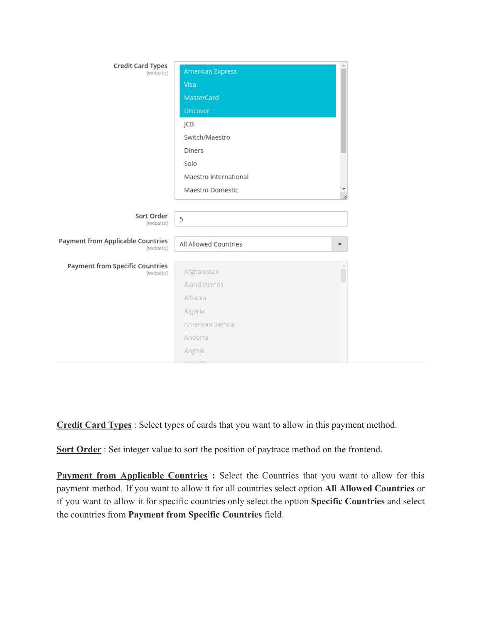| <b>Credit Card Types</b><br>[website]               | American Express      |         |
|-----------------------------------------------------|-----------------------|---------|
|                                                     | Visa                  |         |
|                                                     | MasterCard            |         |
|                                                     | Discover              |         |
|                                                     | JCB                   |         |
|                                                     | Switch/Maestro        |         |
|                                                     | Diners                |         |
|                                                     | Solo                  |         |
|                                                     | Maestro International |         |
|                                                     | Maestro Domestic      |         |
|                                                     |                       |         |
|                                                     |                       |         |
| Sort Order                                          | 5                     |         |
| [website]                                           |                       |         |
| Payment from Applicable Countries<br>[website]      | All Allowed Countries | ▼       |
|                                                     |                       |         |
| <b>Payment from Specific Countries</b><br>[website] | Afghanistan           | ă.<br>г |
|                                                     | Åland Islands         |         |
|                                                     | Albania               |         |
|                                                     | Algeria               |         |
|                                                     | American Samoa        |         |
|                                                     | Andorra               |         |
|                                                     | Angola                |         |

**Credit Card Types** : Select types of cards that you want to allow in this payment method.

**Sort Order** : Set integer value to sort the position of paytrace method on the frontend.

**Payment from Applicable Countries :** Select the Countries that you want to allow for this payment method. If you want to allow it for all countries select option **All Allowed Countries** or if you want to allow it for specific countries only select the option **Specific Countries** and select the countries from **Payment from Specific Countries** field.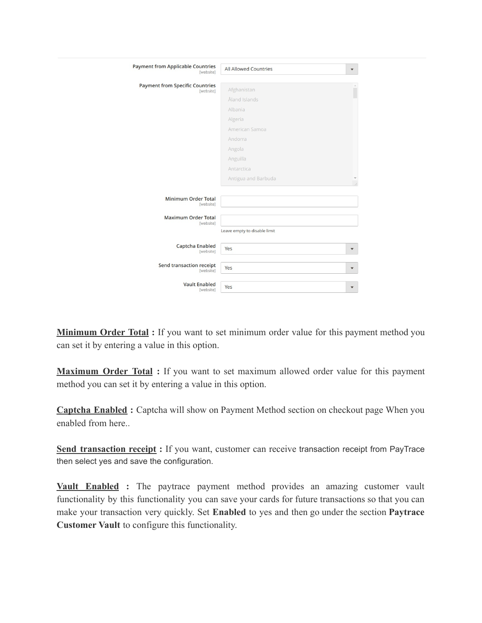| <b>Payment from Applicable Countries</b><br>[website] | <b>All Allowed Countries</b> | ▼                       |
|-------------------------------------------------------|------------------------------|-------------------------|
| <b>Payment from Specific Countries</b><br>[website]   | Afghanistan                  |                         |
|                                                       | Åland Islands                |                         |
|                                                       | Albania                      |                         |
|                                                       | Algeria                      |                         |
|                                                       | American Samoa               |                         |
|                                                       | Andorra                      |                         |
|                                                       | Angola                       |                         |
|                                                       | Anguilla                     |                         |
|                                                       | Antarctica                   |                         |
|                                                       | Antigua and Barbuda          |                         |
| <b>Minimum Order Total</b><br>[website]               |                              |                         |
| <b>Maximum Order Total</b><br>[website]               |                              |                         |
|                                                       | Leave empty to disable limit |                         |
| <b>Captcha Enabled</b><br>[website]                   | Yes                          | $\blacktriangledown$    |
| Send transaction receipt<br>[website]                 | Yes                          | ▼                       |
| <b>Vault Enabled</b><br>[website]                     | Yes                          | $\overline{\mathbf{v}}$ |

**Minimum Order Total :** If you want to set minimum order value for this payment method you can set it by entering a value in this option.

**Maximum Order Total :** If you want to set maximum allowed order value for this payment method you can set it by entering a value in this option.

**Captcha Enabled :** Captcha will show on Payment Method section on checkout page When you enabled from here..

**Send transaction receipt :** If you want, customer can receive transaction receipt from PayTrace then select yes and save the configuration.

**Vault Enabled :** The paytrace payment method provides an amazing customer vault functionality by this functionality you can save your cards for future transactions so that you can make your transaction very quickly. Set **Enabled** to yes and then go under the section **Paytrace Customer Vault** to configure this functionality.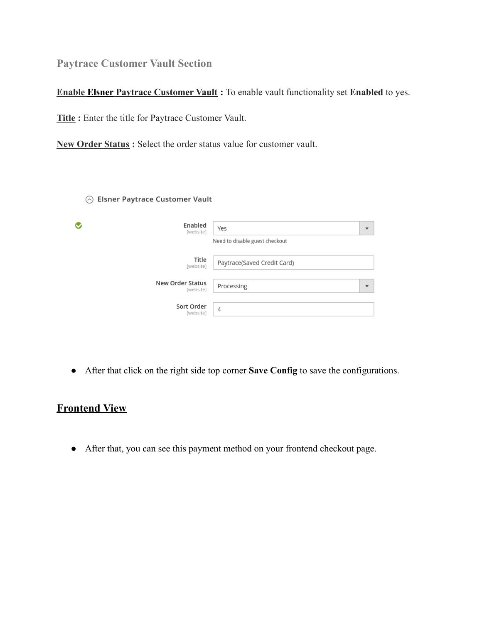**Paytrace Customer Vault Section**

**Enable Elsner Paytrace Customer Vault :** To enable vault functionality set **Enabled** to yes.

**Title :** Enter the title for Paytrace Customer Vault.

**New Order Status :** Select the order status value for customer vault.

⊙ Elsner Paytrace Customer Vault

| ❤                | Enabled<br>[website] | Yes                            | $\overline{\phantom{a}}$ |
|------------------|----------------------|--------------------------------|--------------------------|
|                  |                      | Need to disable guest checkout |                          |
|                  | Title<br>[website]   | Paytrace(Saved Credit Card)    |                          |
| New Order Status | [website]            | Processing                     | $\overline{\phantom{a}}$ |
| Sort Order       | [website]            | 4                              |                          |

● After that click on the right side top corner **Save Config** to save the configurations.

### **Frontend View**

● After that, you can see this payment method on your frontend checkout page.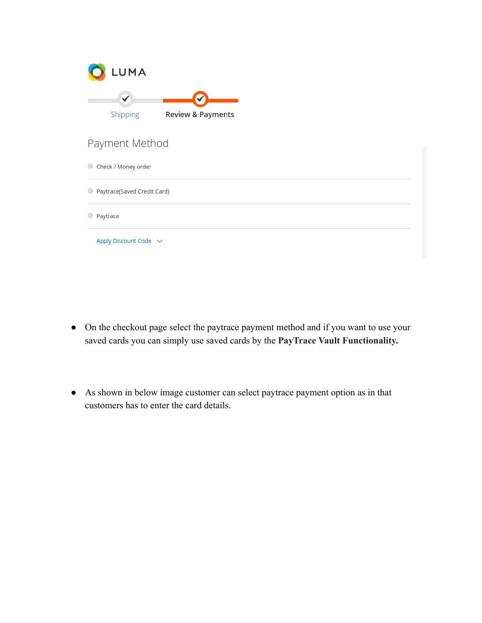| LUMA                        |                              |  |
|-----------------------------|------------------------------|--|
| Shipping                    | <b>Review &amp; Payments</b> |  |
| Payment Method              |                              |  |
| Check / Money order<br>0    |                              |  |
| Paytrace(Saved Credit Card) |                              |  |
| Paytrace                    |                              |  |
| Apply Discount Code $\sim$  |                              |  |

- On the checkout page select the paytrace payment method and if you want to use your saved cards you can simply use saved cards by the **PayTrace Vault Functionality.**
- As shown in below image customer can select paytrace payment option as in that customers has to enter the card details.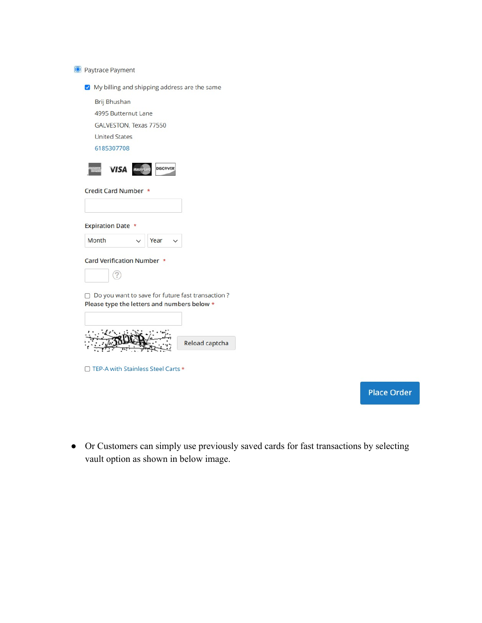

My billing and shipping address are the same

Brij Bhushan

4995 Butternut Lane

GALVESTON, Texas 77550

**United States** 

6185307708



Credit Card Number \*

| <b>Expiration Date *</b> |      |  |
|--------------------------|------|--|
| Month                    | Year |  |

Card Verification Number \*



 $\Box$  Do you want to save for future fast transaction ? Please type the letters and numbers below \*

| Reload captcha |
|----------------|

□ TEP-A with Stainless Steel Carts \*

**Place Order** 

• Or Customers can simply use previously saved cards for fast transactions by selecting vault option as shown in below image.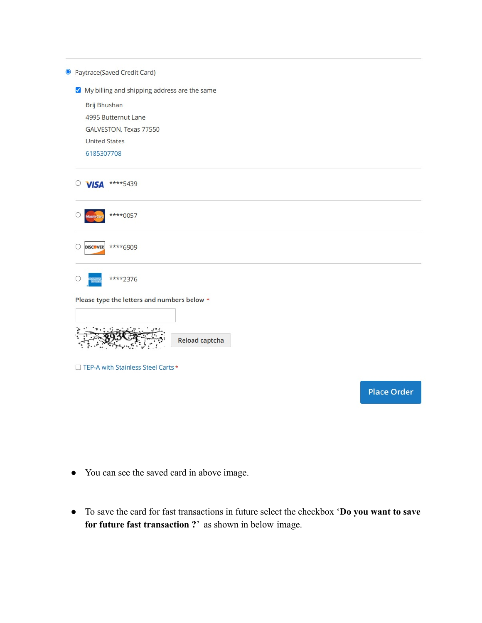|            | <sup>O</sup> Paytrace(Saved Credit Card)     |                    |
|------------|----------------------------------------------|--------------------|
|            | My billing and shipping address are the same |                    |
|            | Brij Bhushan                                 |                    |
|            | 4995 Butternut Lane                          |                    |
|            | GALVESTON, Texas 77550                       |                    |
|            | <b>United States</b>                         |                    |
|            | 6185307708                                   |                    |
| $\bigcirc$ | ****5439<br><b>VISA</b>                      |                    |
|            | ****0057                                     |                    |
|            | ****6909<br><b>DISCOVER</b>                  |                    |
|            | ****2376                                     |                    |
|            | Please type the letters and numbers below *  |                    |
|            |                                              |                    |
|            |                                              |                    |
|            | Reload captcha                               |                    |
|            | □ TEP-A with Stainless Steel Carts *         |                    |
|            |                                              | <b>Place Order</b> |
|            |                                              |                    |

- You can see the saved card in above image.
- To save the card for fast transactions in future select the checkbox '**Do you want to save for future fast transaction ?**' as shown in below image.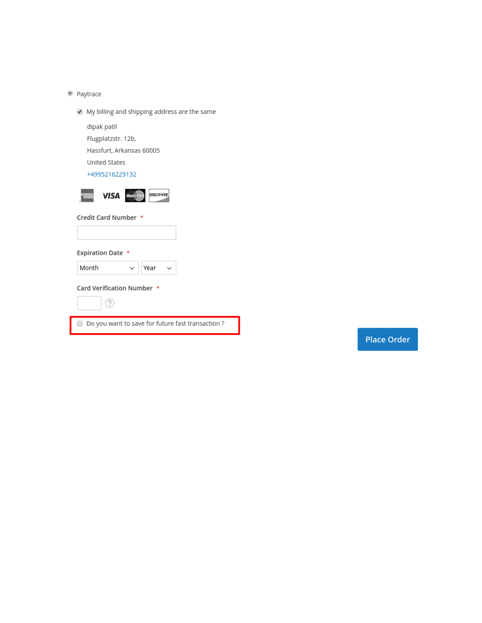· Paytrace

My billing and shipping address are the same

dipak patil

Flugplatzstr. 12b,

Hassfurt, Arkansas 60005

United States

+4995216229132



Credit Card Number \*

**Expiration Date \*** 

Card Verification Number \*

 $\checkmark$ 



Month

Do you want to save for future fast transaction ?

Year

 $\checkmark$ 

**Place Order**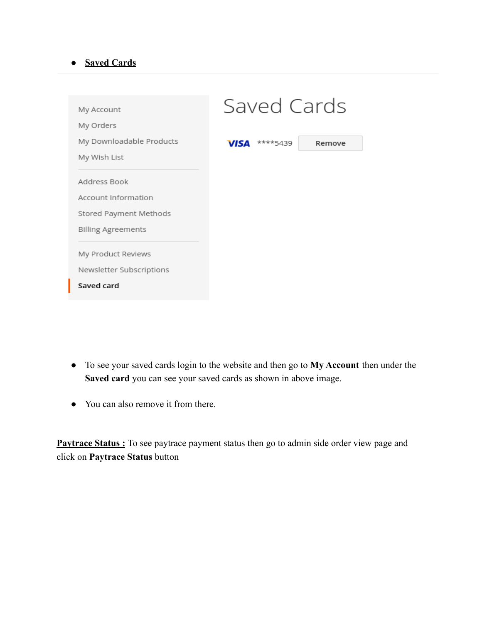#### **● Saved Cards**

| My Account               | Saved Cards             |        |
|--------------------------|-------------------------|--------|
| My Orders                |                         |        |
| My Downloadable Products | ****5439<br><b>VISA</b> | Remove |
| My Wish List             |                         |        |
| Address Book             |                         |        |
| Account Information      |                         |        |
| Stored Payment Methods   |                         |        |
| Billing Agreements       |                         |        |
|                          |                         |        |
| My Product Reviews       |                         |        |
| Newsletter Subscriptions |                         |        |
| Saved card               |                         |        |
|                          |                         |        |

- To see your saved cards login to the website and then go to **My Account** then under the **Saved card** you can see your saved cards as shown in above image.
- You can also remove it from there.

**Paytrace Status :** To see paytrace payment status then go to admin side order view page and click on **Paytrace Status** button